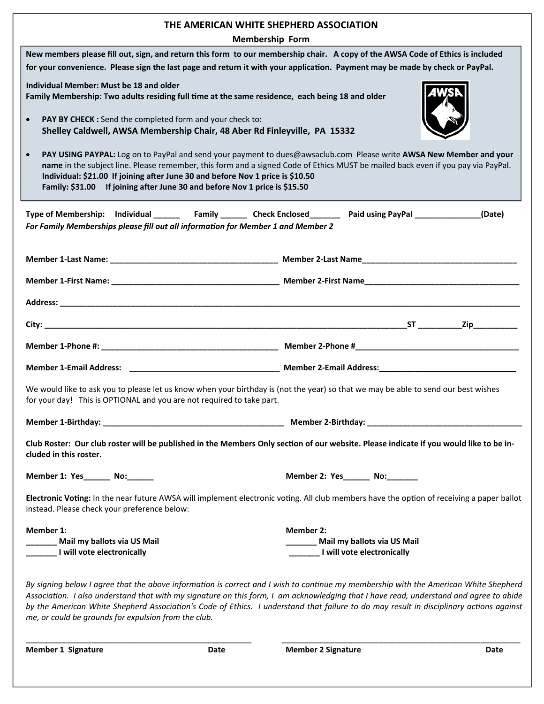| THE AMERICAN WHITE SHEPHERD ASSOCIATION<br><b>Membership Form</b>                                                                                                                                                                                                                                                                                                                                                                                                                 |                                                                             |
|-----------------------------------------------------------------------------------------------------------------------------------------------------------------------------------------------------------------------------------------------------------------------------------------------------------------------------------------------------------------------------------------------------------------------------------------------------------------------------------|-----------------------------------------------------------------------------|
| New members please fill out, sign, and return this form to our membership chair. A copy of the AWSA Code of Ethics is included<br>for your convenience. Please sign the last page and return it with your application. Payment may be made by check or PayPal.                                                                                                                                                                                                                    |                                                                             |
| Individual Member: Must be 18 and older<br>Family Membership: Two adults residing full time at the same residence, each being 18 and older                                                                                                                                                                                                                                                                                                                                        |                                                                             |
| PAY BY CHECK : Send the completed form and your check to:<br>$\bullet$<br>Shelley Caldwell, AWSA Membership Chair, 48 Aber Rd Finleyville, PA 15332                                                                                                                                                                                                                                                                                                                               |                                                                             |
| PAY USING PAYPAL: Log on to PayPal and send your payment to dues@awsaclub.com Please write AWSA New Member and your<br>name in the subject line. Please remember, this form and a signed Code of Ethics MUST be mailed back even if you pay via PayPal.<br>Individual: \$21.00 If joining after June 30 and before Nov 1 price is \$10.50<br>Family: \$31.00 If joining after June 30 and before Nov 1 price is \$15.50                                                           |                                                                             |
| Type of Membership: Individual ________ Family ________ Check Enclosed ________ Paid using PayPal ____________(Date)<br>For Family Memberships please fill out all information for Member 1 and Member 2                                                                                                                                                                                                                                                                          |                                                                             |
|                                                                                                                                                                                                                                                                                                                                                                                                                                                                                   |                                                                             |
|                                                                                                                                                                                                                                                                                                                                                                                                                                                                                   |                                                                             |
|                                                                                                                                                                                                                                                                                                                                                                                                                                                                                   |                                                                             |
|                                                                                                                                                                                                                                                                                                                                                                                                                                                                                   |                                                                             |
|                                                                                                                                                                                                                                                                                                                                                                                                                                                                                   |                                                                             |
|                                                                                                                                                                                                                                                                                                                                                                                                                                                                                   |                                                                             |
| We would like to ask you to please let us know when your birthday is (not the year) so that we may be able to send our best wishes<br>for your day! This is OPTIONAL and you are not required to take part.                                                                                                                                                                                                                                                                       |                                                                             |
|                                                                                                                                                                                                                                                                                                                                                                                                                                                                                   |                                                                             |
| Club Roster: Our club roster will be published in the Members Only section of our website. Please indicate if you would like to be in-<br>cluded in this roster.                                                                                                                                                                                                                                                                                                                  |                                                                             |
| Member 1: Yes_________ No:_______                                                                                                                                                                                                                                                                                                                                                                                                                                                 | Member 2: Yes_______ No:_______                                             |
| Electronic Voting: In the near future AWSA will implement electronic voting. All club members have the option of receiving a paper ballot<br>instead. Please check your preference below:                                                                                                                                                                                                                                                                                         |                                                                             |
| Member 1:                                                                                                                                                                                                                                                                                                                                                                                                                                                                         | <b>Member 2:</b>                                                            |
| Mail my ballots via US Mail<br>I will vote electronically                                                                                                                                                                                                                                                                                                                                                                                                                         | _________ Mail my ballots via US Mail<br>________I will vote electronically |
| By signing below I agree that the above information is correct and I wish to continue my membership with the American White Shepherd<br>Association. I also understand that with my signature on this form, I am acknowledging that I have read, understand and agree to abide<br>by the American White Shepherd Association's Code of Ethics. I understand that failure to do may result in disciplinary actions against<br>me, or could be grounds for expulsion from the club. |                                                                             |
| <b>Member 1 Signature</b><br>Date                                                                                                                                                                                                                                                                                                                                                                                                                                                 | <b>Member 2 Signature</b><br>Date                                           |
|                                                                                                                                                                                                                                                                                                                                                                                                                                                                                   |                                                                             |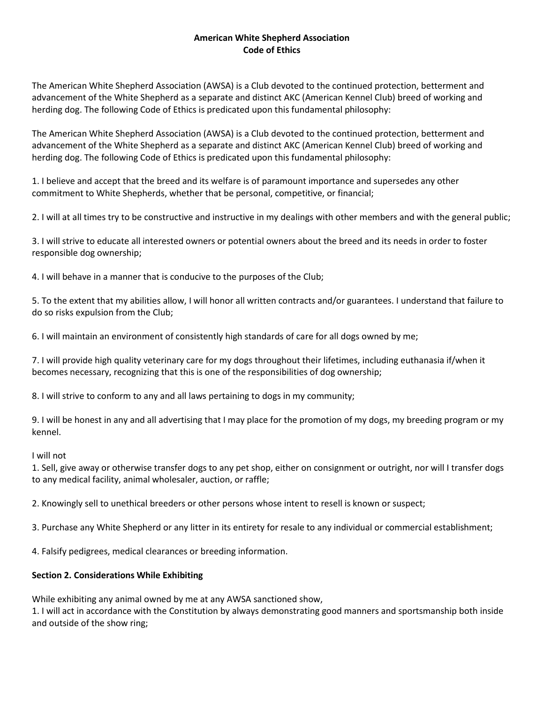### **American White Shepherd Association Code of Ethics**

The American White Shepherd Association (AWSA) is a Club devoted to the continued protection, betterment and advancement of the White Shepherd as a separate and distinct AKC (American Kennel Club) breed of working and herding dog. The following Code of Ethics is predicated upon this fundamental philosophy:

The American White Shepherd Association (AWSA) is a Club devoted to the continued protection, betterment and advancement of the White Shepherd as a separate and distinct AKC (American Kennel Club) breed of working and herding dog. The following Code of Ethics is predicated upon this fundamental philosophy:

1. I believe and accept that the breed and its welfare is of paramount importance and supersedes any other commitment to White Shepherds, whether that be personal, competitive, or financial;

2. I will at all times try to be constructive and instructive in my dealings with other members and with the general public;

3. I will strive to educate all interested owners or potential owners about the breed and its needs in order to foster responsible dog ownership;

4. I will behave in a manner that is conducive to the purposes of the Club;

5. To the extent that my abilities allow, I will honor all written contracts and/or guarantees. I understand that failure to do so risks expulsion from the Club;

6. I will maintain an environment of consistently high standards of care for all dogs owned by me;

7. I will provide high quality veterinary care for my dogs throughout their lifetimes, including euthanasia if/when it becomes necessary, recognizing that this is one of the responsibilities of dog ownership;

8. I will strive to conform to any and all laws pertaining to dogs in my community;

9. I will be honest in any and all advertising that I may place for the promotion of my dogs, my breeding program or my kennel.

#### I will not

1. Sell, give away or otherwise transfer dogs to any pet shop, either on consignment or outright, nor will I transfer dogs to any medical facility, animal wholesaler, auction, or raffle;

2. Knowingly sell to unethical breeders or other persons whose intent to resell is known or suspect;

3. Purchase any White Shepherd or any litter in its entirety for resale to any individual or commercial establishment;

4. Falsify pedigrees, medical clearances or breeding information.

#### **Section 2. Considerations While Exhibiting**

While exhibiting any animal owned by me at any AWSA sanctioned show,

1. I will act in accordance with the Constitution by always demonstrating good manners and sportsmanship both inside and outside of the show ring;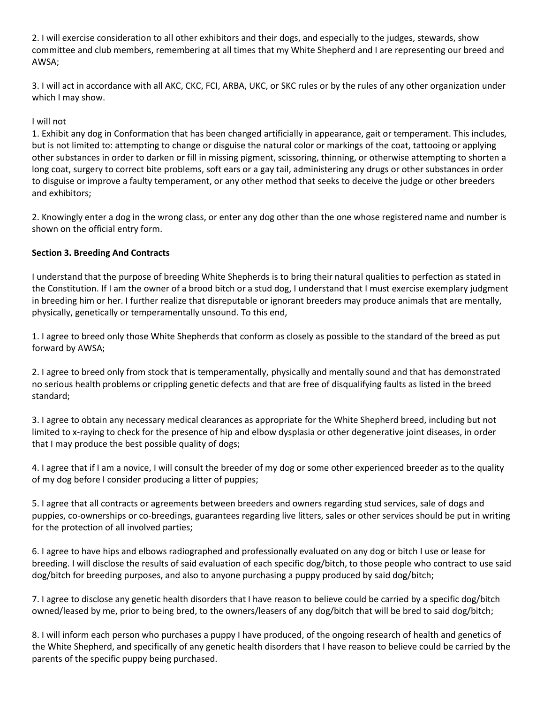2. I will exercise consideration to all other exhibitors and their dogs, and especially to the judges, stewards, show committee and club members, remembering at all times that my White Shepherd and I are representing our breed and AWSA;

3. I will act in accordance with all AKC, CKC, FCI, ARBA, UKC, or SKC rules or by the rules of any other organization under which I may show.

### I will not

1. Exhibit any dog in Conformation that has been changed artificially in appearance, gait or temperament. This includes, but is not limited to: attempting to change or disguise the natural color or markings of the coat, tattooing or applying other substances in order to darken or fill in missing pigment, scissoring, thinning, or otherwise attempting to shorten a long coat, surgery to correct bite problems, soft ears or a gay tail, administering any drugs or other substances in order to disguise or improve a faulty temperament, or any other method that seeks to deceive the judge or other breeders and exhibitors;

2. Knowingly enter a dog in the wrong class, or enter any dog other than the one whose registered name and number is shown on the official entry form.

### **Section 3. Breeding And Contracts**

I understand that the purpose of breeding White Shepherds is to bring their natural qualities to perfection as stated in the Constitution. If I am the owner of a brood bitch or a stud dog, I understand that I must exercise exemplary judgment in breeding him or her. I further realize that disreputable or ignorant breeders may produce animals that are mentally, physically, genetically or temperamentally unsound. To this end,

1. I agree to breed only those White Shepherds that conform as closely as possible to the standard of the breed as put forward by AWSA;

2. I agree to breed only from stock that is temperamentally, physically and mentally sound and that has demonstrated no serious health problems or crippling genetic defects and that are free of disqualifying faults as listed in the breed standard;

3. I agree to obtain any necessary medical clearances as appropriate for the White Shepherd breed, including but not limited to x-raying to check for the presence of hip and elbow dysplasia or other degenerative joint diseases, in order that I may produce the best possible quality of dogs;

4. I agree that if I am a novice, I will consult the breeder of my dog or some other experienced breeder as to the quality of my dog before I consider producing a litter of puppies;

5. I agree that all contracts or agreements between breeders and owners regarding stud services, sale of dogs and puppies, co-ownerships or co-breedings, guarantees regarding live litters, sales or other services should be put in writing for the protection of all involved parties;

6. I agree to have hips and elbows radiographed and professionally evaluated on any dog or bitch I use or lease for breeding. I will disclose the results of said evaluation of each specific dog/bitch, to those people who contract to use said dog/bitch for breeding purposes, and also to anyone purchasing a puppy produced by said dog/bitch;

7. I agree to disclose any genetic health disorders that I have reason to believe could be carried by a specific dog/bitch owned/leased by me, prior to being bred, to the owners/leasers of any dog/bitch that will be bred to said dog/bitch;

8. I will inform each person who purchases a puppy I have produced, of the ongoing research of health and genetics of the White Shepherd, and specifically of any genetic health disorders that I have reason to believe could be carried by the parents of the specific puppy being purchased.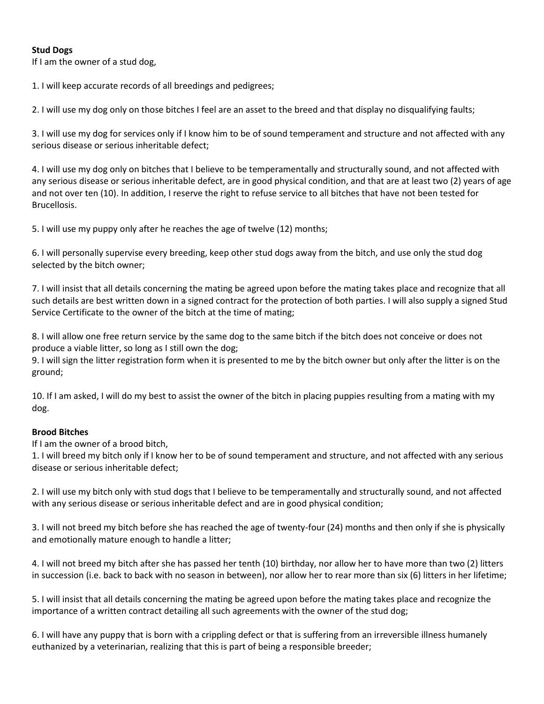### **Stud Dogs**

If I am the owner of a stud dog,

1. I will keep accurate records of all breedings and pedigrees;

2. I will use my dog only on those bitches I feel are an asset to the breed and that display no disqualifying faults;

3. I will use my dog for services only if I know him to be of sound temperament and structure and not affected with any serious disease or serious inheritable defect;

4. I will use my dog only on bitches that I believe to be temperamentally and structurally sound, and not affected with any serious disease or serious inheritable defect, are in good physical condition, and that are at least two (2) years of age and not over ten (10). In addition, I reserve the right to refuse service to all bitches that have not been tested for Brucellosis.

5. I will use my puppy only after he reaches the age of twelve (12) months;

6. I will personally supervise every breeding, keep other stud dogs away from the bitch, and use only the stud dog selected by the bitch owner;

7. I will insist that all details concerning the mating be agreed upon before the mating takes place and recognize that all such details are best written down in a signed contract for the protection of both parties. I will also supply a signed Stud Service Certificate to the owner of the bitch at the time of mating;

8. I will allow one free return service by the same dog to the same bitch if the bitch does not conceive or does not produce a viable litter, so long as I still own the dog;

9. I will sign the litter registration form when it is presented to me by the bitch owner but only after the litter is on the ground;

10. If I am asked, I will do my best to assist the owner of the bitch in placing puppies resulting from a mating with my dog.

#### **Brood Bitches**

If I am the owner of a brood bitch,

1. I will breed my bitch only if I know her to be of sound temperament and structure, and not affected with any serious disease or serious inheritable defect;

2. I will use my bitch only with stud dogs that I believe to be temperamentally and structurally sound, and not affected with any serious disease or serious inheritable defect and are in good physical condition;

3. I will not breed my bitch before she has reached the age of twenty-four (24) months and then only if she is physically and emotionally mature enough to handle a litter;

4. I will not breed my bitch after she has passed her tenth (10) birthday, nor allow her to have more than two (2) litters in succession (i.e. back to back with no season in between), nor allow her to rear more than six (6) litters in her lifetime;

5. I will insist that all details concerning the mating be agreed upon before the mating takes place and recognize the importance of a written contract detailing all such agreements with the owner of the stud dog;

6. I will have any puppy that is born with a crippling defect or that is suffering from an irreversible illness humanely euthanized by a veterinarian, realizing that this is part of being a responsible breeder;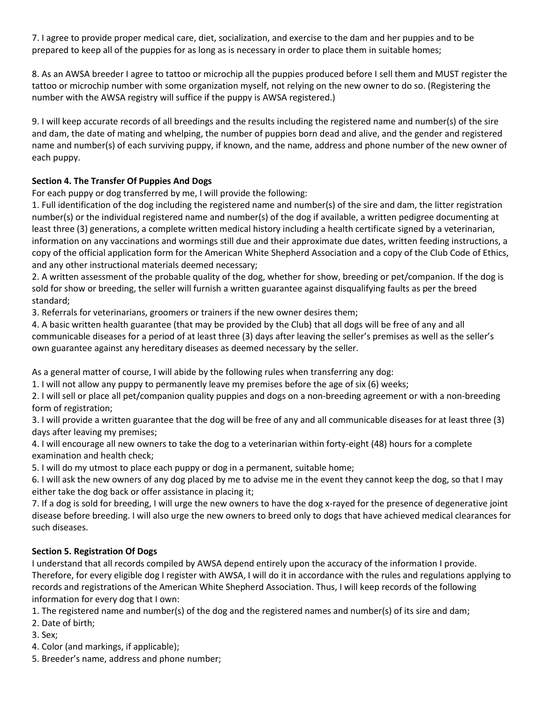7. I agree to provide proper medical care, diet, socialization, and exercise to the dam and her puppies and to be prepared to keep all of the puppies for as long as is necessary in order to place them in suitable homes;

8. As an AWSA breeder I agree to tattoo or microchip all the puppies produced before I sell them and MUST register the tattoo or microchip number with some organization myself, not relying on the new owner to do so. (Registering the number with the AWSA registry will suffice if the puppy is AWSA registered.)

9. I will keep accurate records of all breedings and the results including the registered name and number(s) of the sire and dam, the date of mating and whelping, the number of puppies born dead and alive, and the gender and registered name and number(s) of each surviving puppy, if known, and the name, address and phone number of the new owner of each puppy.

# **Section 4. The Transfer Of Puppies And Dogs**

For each puppy or dog transferred by me, I will provide the following:

1. Full identification of the dog including the registered name and number(s) of the sire and dam, the litter registration number(s) or the individual registered name and number(s) of the dog if available, a written pedigree documenting at least three (3) generations, a complete written medical history including a health certificate signed by a veterinarian, information on any vaccinations and wormings still due and their approximate due dates, written feeding instructions, a copy of the official application form for the American White Shepherd Association and a copy of the Club Code of Ethics, and any other instructional materials deemed necessary;

2. A written assessment of the probable quality of the dog, whether for show, breeding or pet/companion. If the dog is sold for show or breeding, the seller will furnish a written guarantee against disqualifying faults as per the breed standard;

3. Referrals for veterinarians, groomers or trainers if the new owner desires them;

4. A basic written health guarantee (that may be provided by the Club) that all dogs will be free of any and all communicable diseases for a period of at least three (3) days after leaving the seller's premises as well as the seller's own guarantee against any hereditary diseases as deemed necessary by the seller.

As a general matter of course, I will abide by the following rules when transferring any dog:

1. I will not allow any puppy to permanently leave my premises before the age of six (6) weeks;

2. I will sell or place all pet/companion quality puppies and dogs on a non-breeding agreement or with a non-breeding form of registration;

3. I will provide a written guarantee that the dog will be free of any and all communicable diseases for at least three (3) days after leaving my premises;

4. I will encourage all new owners to take the dog to a veterinarian within forty-eight (48) hours for a complete examination and health check;

5. I will do my utmost to place each puppy or dog in a permanent, suitable home;

6. I will ask the new owners of any dog placed by me to advise me in the event they cannot keep the dog, so that I may either take the dog back or offer assistance in placing it;

7. If a dog is sold for breeding, I will urge the new owners to have the dog x-rayed for the presence of degenerative joint disease before breeding. I will also urge the new owners to breed only to dogs that have achieved medical clearances for such diseases.

# **Section 5. Registration Of Dogs**

I understand that all records compiled by AWSA depend entirely upon the accuracy of the information I provide. Therefore, for every eligible dog I register with AWSA, I will do it in accordance with the rules and regulations applying to records and registrations of the American White Shepherd Association. Thus, I will keep records of the following information for every dog that I own:

1. The registered name and number(s) of the dog and the registered names and number(s) of its sire and dam;

2. Date of birth;

3. Sex;

4. Color (and markings, if applicable);

5. Breeder's name, address and phone number;